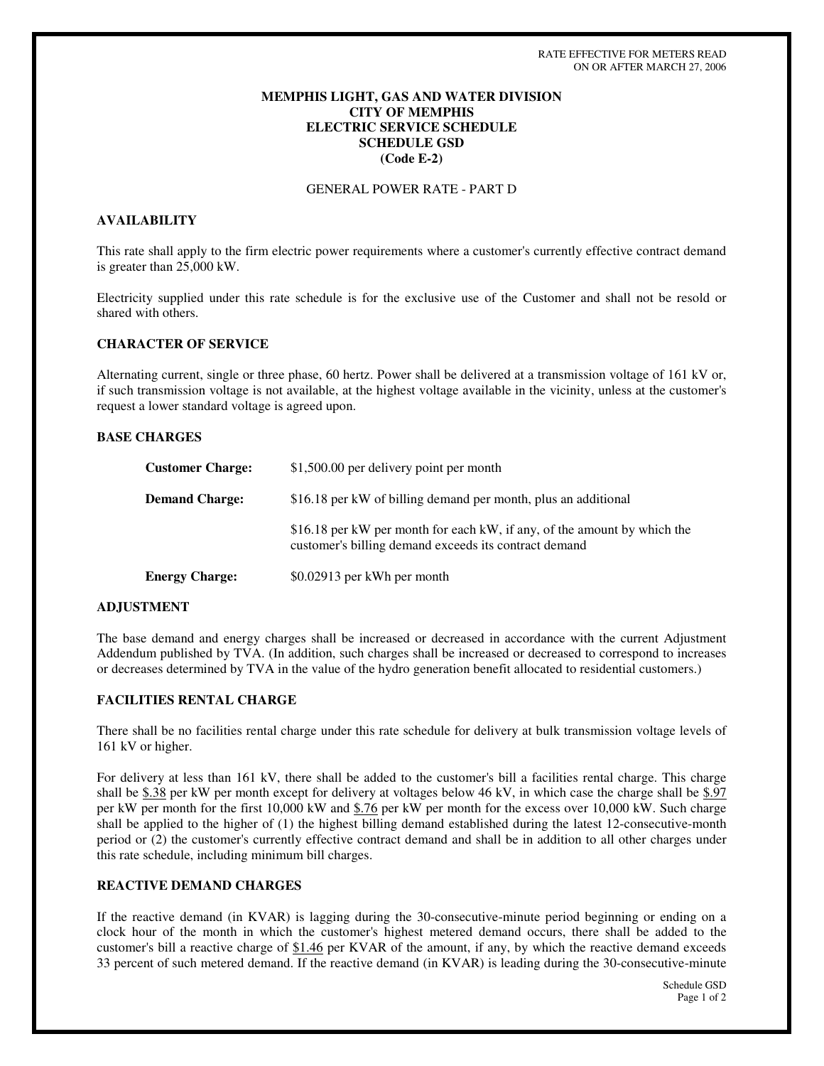#### **MEMPHIS LIGHT, GAS AND WATER DIVISION CITY OF MEMPHIS ELECTRIC SERVICE SCHEDULE SCHEDULE GSD (Code E-2)**

### GENERAL POWER RATE - PART D

#### **AVAILABILITY**

This rate shall apply to the firm electric power requirements where a customer's currently effective contract demand is greater than 25,000 kW.

Electricity supplied under this rate schedule is for the exclusive use of the Customer and shall not be resold or shared with others.

#### **CHARACTER OF SERVICE**

Alternating current, single or three phase, 60 hertz. Power shall be delivered at a transmission voltage of 161 kV or, if such transmission voltage is not available, at the highest voltage available in the vicinity, unless at the customer's request a lower standard voltage is agreed upon.

#### **BASE CHARGES**

| <b>Customer Charge:</b> | \$1,500.00 per delivery point per month                                                                                           |
|-------------------------|-----------------------------------------------------------------------------------------------------------------------------------|
| <b>Demand Charge:</b>   | \$16.18 per kW of billing demand per month, plus an additional                                                                    |
|                         | \$16.18 per kW per month for each kW, if any, of the amount by which the<br>customer's billing demand exceeds its contract demand |
| <b>Energy Charge:</b>   | \$0.02913 per kWh per month                                                                                                       |

#### **ADJUSTMENT**

The base demand and energy charges shall be increased or decreased in accordance with the current Adjustment Addendum published by TVA. (In addition, such charges shall be increased or decreased to correspond to increases or decreases determined by TVA in the value of the hydro generation benefit allocated to residential customers.)

#### **FACILITIES RENTAL CHARGE**

There shall be no facilities rental charge under this rate schedule for delivery at bulk transmission voltage levels of 161 kV or higher.

For delivery at less than 161 kV, there shall be added to the customer's bill a facilities rental charge. This charge shall be \$.38 per kW per month except for delivery at voltages below 46 kV, in which case the charge shall be \$.97 per kW per month for the first 10,000 kW and \$.76 per kW per month for the excess over 10,000 kW. Such charge shall be applied to the higher of (1) the highest billing demand established during the latest 12-consecutive-month period or (2) the customer's currently effective contract demand and shall be in addition to all other charges under this rate schedule, including minimum bill charges.

## **REACTIVE DEMAND CHARGES**

If the reactive demand (in KVAR) is lagging during the 30-consecutive-minute period beginning or ending on a clock hour of the month in which the customer's highest metered demand occurs, there shall be added to the customer's bill a reactive charge of \$1.46 per KVAR of the amount, if any, by which the reactive demand exceeds 33 percent of such metered demand. If the reactive demand (in KVAR) is leading during the 30-consecutive-minute